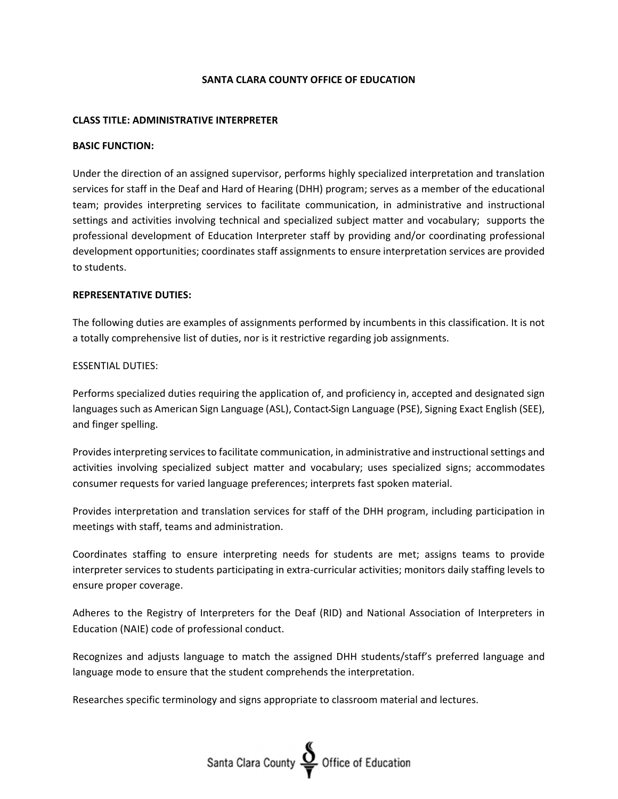## **SANTA CLARA COUNTY OFFICE OF EDUCATION**

#### **CLASS TITLE: ADMINISTRATIVE INTERPRETER**

#### **BASIC FUNCTION:**

Under the direction of an assigned supervisor, performs highly specialized interpretation and translation services for staff in the Deaf and Hard of Hearing (DHH) program; serves as a member of the educational team; provides interpreting services to facilitate communication, in administrative and instructional settings and activities involving technical and specialized subject matter and vocabulary; supports the professional development of Education Interpreter staff by providing and/or coordinating professional development opportunities; coordinates staff assignments to ensure interpretation services are provided to students.

### **REPRESENTATIVE DUTIES:**

The following duties are examples of assignments performed by incumbents in this classification. It is not a totally comprehensive list of duties, nor is it restrictive regarding job assignments.

### ESSENTIAL DUTIES:

Performs specialized duties requiring the application of, and proficiency in, accepted and designated sign languages such as American Sign Language (ASL), Contact Sign Language (PSE), Signing Exact English (SEE), and finger spelling.

Provides interpreting services to facilitate communication, in administrative and instructional settings and activities involving specialized subject matter and vocabulary; uses specialized signs; accommodates consumer requests for varied language preferences; interprets fast spoken material.

Provides interpretation and translation services for staff of the DHH program, including participation in meetings with staff, teams and administration.

Coordinates staffing to ensure interpreting needs for students are met; assigns teams to provide interpreter services to students participating in extra‐curricular activities; monitors daily staffing levels to ensure proper coverage.

Adheres to the Registry of Interpreters for the Deaf (RID) and National Association of Interpreters in Education (NAIE) code of professional conduct.

Recognizes and adjusts language to match the assigned DHH students/staff's preferred language and language mode to ensure that the student comprehends the interpretation.

Researches specific terminology and signs appropriate to classroom material and lectures.

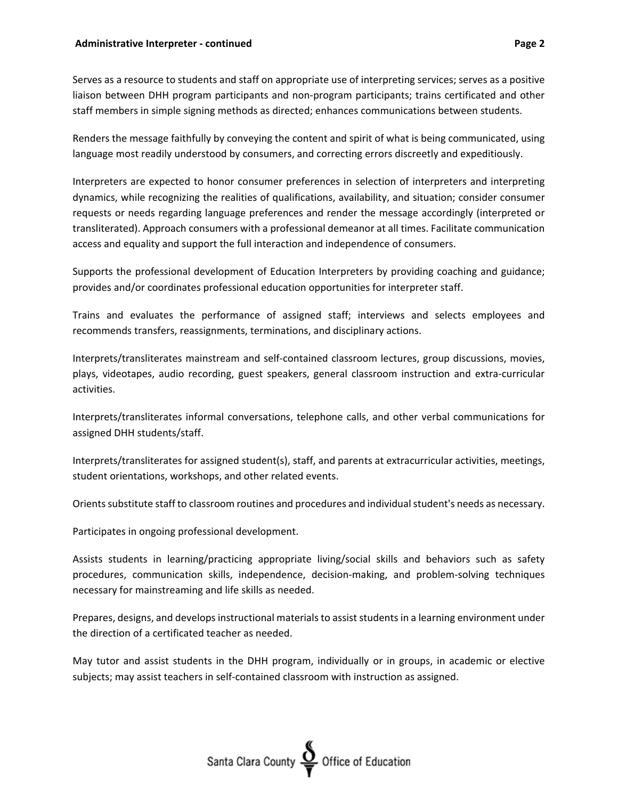Serves as a resource to students and staff on appropriate use of interpreting services; serves as a positive liaison between DHH program participants and non‐program participants; trains certificated and other staff members in simple signing methods as directed; enhances communications between students.

Renders the message faithfully by conveying the content and spirit of what is being communicated, using language most readily understood by consumers, and correcting errors discreetly and expeditiously.

Interpreters are expected to honor consumer preferences in selection of interpreters and interpreting dynamics, while recognizing the realities of qualifications, availability, and situation; consider consumer requests or needs regarding language preferences and render the message accordingly (interpreted or transliterated). Approach consumers with a professional demeanor at all times. Facilitate communication access and equality and support the full interaction and independence of consumers.

Supports the professional development of Education Interpreters by providing coaching and guidance; provides and/or coordinates professional education opportunities for interpreter staff.

Trains and evaluates the performance of assigned staff; interviews and selects employees and recommends transfers, reassignments, terminations, and disciplinary actions.

Interprets/transliterates mainstream and self‐contained classroom lectures, group discussions, movies, plays, videotapes, audio recording, guest speakers, general classroom instruction and extra‐curricular activities.

Interprets/transliterates informal conversations, telephone calls, and other verbal communications for assigned DHH students/staff.

Interprets/transliterates for assigned student(s), staff, and parents at extracurricular activities, meetings, student orientations, workshops, and other related events.

Orients substitute staff to classroom routines and procedures and individual student's needs as necessary.

Participates in ongoing professional development.

Assists students in learning/practicing appropriate living/social skills and behaviors such as safety procedures, communication skills, independence, decision‐making, and problem‐solving techniques necessary for mainstreaming and life skills as needed.

Prepares, designs, and develops instructional materials to assist students in a learning environment under the direction of a certificated teacher as needed.

May tutor and assist students in the DHH program, individually or in groups, in academic or elective subjects; may assist teachers in self-contained classroom with instruction as assigned.

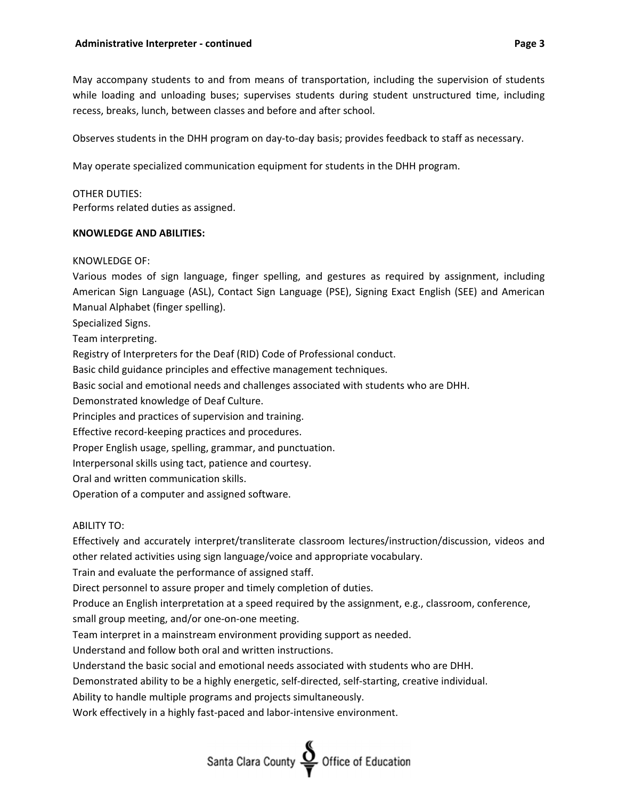May accompany students to and from means of transportation, including the supervision of students while loading and unloading buses; supervises students during student unstructured time, including recess, breaks, lunch, between classes and before and after school.

Observes students in the DHH program on day‐to‐day basis; provides feedback to staff as necessary.

May operate specialized communication equipment for students in the DHH program.

## OTHER DUTIES:

Performs related duties as assigned.

### **KNOWLEDGE AND ABILITIES:**

### KNOWLEDGE OF:

Various modes of sign language, finger spelling, and gestures as required by assignment, including American Sign Language (ASL), Contact Sign Language (PSE), Signing Exact English (SEE) and American Manual Alphabet (finger spelling).

Specialized Signs.

Team interpreting.

Registry of Interpreters for the Deaf (RID) Code of Professional conduct.

Basic child guidance principles and effective management techniques.

Basic social and emotional needs and challenges associated with students who are DHH.

Demonstrated knowledge of Deaf Culture.

Principles and practices of supervision and training.

Effective record‐keeping practices and procedures.

Proper English usage, spelling, grammar, and punctuation.

Interpersonal skills using tact, patience and courtesy.

Oral and written communication skills.

Operation of a computer and assigned software.

## ABILITY TO:

Effectively and accurately interpret/transliterate classroom lectures/instruction/discussion, videos and other related activities using sign language/voice and appropriate vocabulary.

Train and evaluate the performance of assigned staff.

Direct personnel to assure proper and timely completion of duties.

Produce an English interpretation at a speed required by the assignment, e.g., classroom, conference,

small group meeting, and/or one-on-one meeting.

Team interpret in a mainstream environment providing support as needed.

Understand and follow both oral and written instructions.

Understand the basic social and emotional needs associated with students who are DHH.

Demonstrated ability to be a highly energetic, self-directed, self-starting, creative individual.

Ability to handle multiple programs and projects simultaneously.

Work effectively in a highly fast-paced and labor-intensive environment.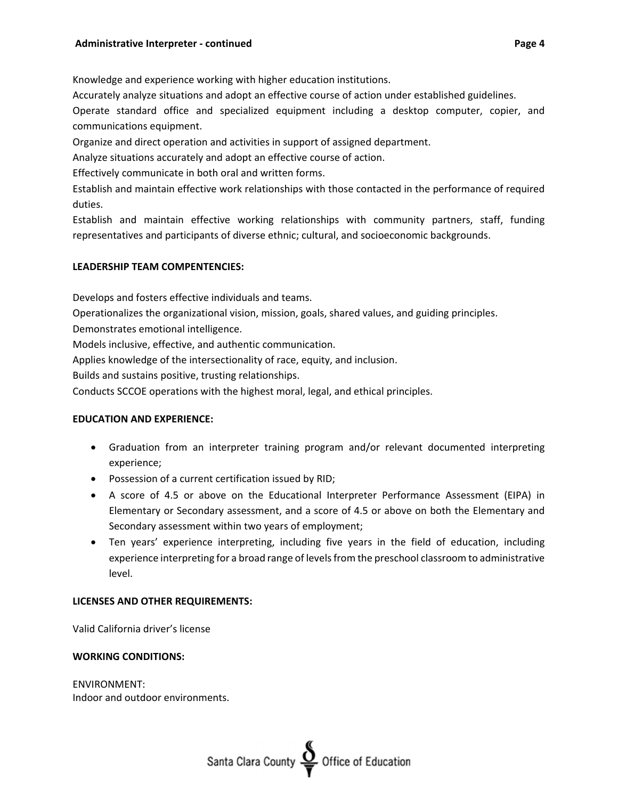Accurately analyze situations and adopt an effective course of action under established guidelines.

Operate standard office and specialized equipment including a desktop computer, copier, and communications equipment.

Organize and direct operation and activities in support of assigned department.

Analyze situations accurately and adopt an effective course of action.

Effectively communicate in both oral and written forms.

Establish and maintain effective work relationships with those contacted in the performance of required duties.

Establish and maintain effective working relationships with community partners, staff, funding representatives and participants of diverse ethnic; cultural, and socioeconomic backgrounds.

# **LEADERSHIP TEAM COMPENTENCIES:**

Develops and fosters effective individuals and teams.

Operationalizes the organizational vision, mission, goals, shared values, and guiding principles.

Demonstrates emotional intelligence.

Models inclusive, effective, and authentic communication.

Applies knowledge of the intersectionality of race, equity, and inclusion.

Builds and sustains positive, trusting relationships.

Conducts SCCOE operations with the highest moral, legal, and ethical principles.

# **EDUCATION AND EXPERIENCE:**

- Graduation from an interpreter training program and/or relevant documented interpreting experience;
- Possession of a current certification issued by RID;
- A score of 4.5 or above on the Educational Interpreter Performance Assessment (EIPA) in Elementary or Secondary assessment, and a score of 4.5 or above on both the Elementary and Secondary assessment within two years of employment;
- Ten years' experience interpreting, including five years in the field of education, including experience interpreting for a broad range of levelsfrom the preschool classroom to administrative level.

# **LICENSES AND OTHER REQUIREMENTS:**

Valid California driver's license

# **WORKING CONDITIONS:**

ENVIRONMENT: Indoor and outdoor environments.